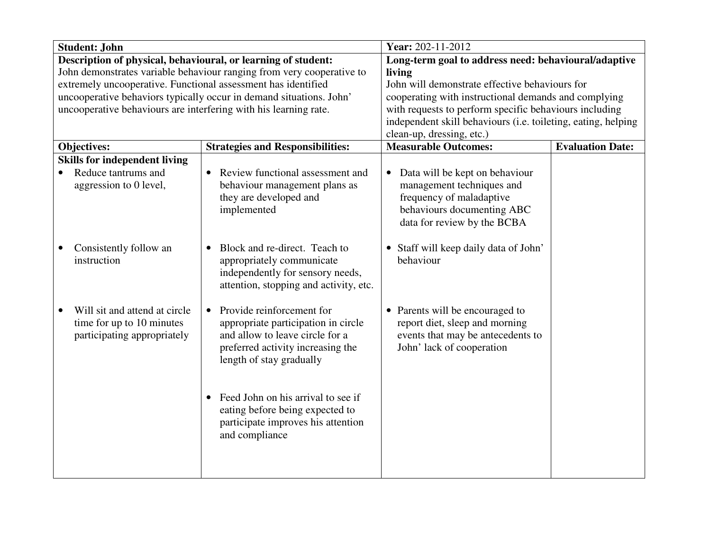| <b>Student: John</b>                                          |                                                                  |                                                                       | Year: 202-11-2012                                             |                         |
|---------------------------------------------------------------|------------------------------------------------------------------|-----------------------------------------------------------------------|---------------------------------------------------------------|-------------------------|
| Description of physical, behavioural, or learning of student: |                                                                  |                                                                       | Long-term goal to address need: behavioural/adaptive          |                         |
|                                                               |                                                                  | John demonstrates variable behaviour ranging from very cooperative to | living                                                        |                         |
|                                                               | extremely uncooperative. Functional assessment has identified    |                                                                       | John will demonstrate effective behaviours for                |                         |
|                                                               |                                                                  | uncooperative behaviors typically occur in demand situations. John'   | cooperating with instructional demands and complying          |                         |
|                                                               | uncooperative behaviours are interfering with his learning rate. |                                                                       | with requests to perform specific behaviours including        |                         |
|                                                               |                                                                  |                                                                       | independent skill behaviours (i.e. toileting, eating, helping |                         |
|                                                               |                                                                  |                                                                       | clean-up, dressing, etc.)                                     |                         |
|                                                               | Objectives:                                                      | <b>Strategies and Responsibilities:</b>                               | <b>Measurable Outcomes:</b>                                   | <b>Evaluation Date:</b> |
|                                                               | <b>Skills for independent living</b>                             |                                                                       |                                                               |                         |
|                                                               | Reduce tantrums and                                              | Review functional assessment and                                      | Data will be kept on behaviour<br>$\bullet$                   |                         |
|                                                               | aggression to 0 level,                                           | behaviour management plans as                                         | management techniques and                                     |                         |
|                                                               |                                                                  | they are developed and                                                | frequency of maladaptive                                      |                         |
|                                                               |                                                                  | implemented                                                           | behaviours documenting ABC                                    |                         |
|                                                               |                                                                  |                                                                       | data for review by the BCBA                                   |                         |
|                                                               | Consistently follow an                                           | Block and re-direct. Teach to<br>$\bullet$                            | • Staff will keep daily data of John'                         |                         |
|                                                               | instruction                                                      | appropriately communicate                                             | behaviour                                                     |                         |
|                                                               |                                                                  | independently for sensory needs,                                      |                                                               |                         |
|                                                               |                                                                  | attention, stopping and activity, etc.                                |                                                               |                         |
|                                                               |                                                                  |                                                                       |                                                               |                         |
|                                                               | Will sit and attend at circle                                    | Provide reinforcement for<br>$\bullet$                                | • Parents will be encouraged to                               |                         |
|                                                               | time for up to 10 minutes                                        | appropriate participation in circle                                   | report diet, sleep and morning                                |                         |
|                                                               | participating appropriately                                      | and allow to leave circle for a                                       | events that may be antecedents to                             |                         |
|                                                               |                                                                  | preferred activity increasing the                                     | John' lack of cooperation                                     |                         |
|                                                               |                                                                  | length of stay gradually                                              |                                                               |                         |
|                                                               |                                                                  |                                                                       |                                                               |                         |
|                                                               |                                                                  |                                                                       |                                                               |                         |
|                                                               |                                                                  | Feed John on his arrival to see if                                    |                                                               |                         |
|                                                               |                                                                  | eating before being expected to                                       |                                                               |                         |
|                                                               |                                                                  | participate improves his attention                                    |                                                               |                         |
|                                                               |                                                                  | and compliance                                                        |                                                               |                         |
|                                                               |                                                                  |                                                                       |                                                               |                         |
|                                                               |                                                                  |                                                                       |                                                               |                         |
|                                                               |                                                                  |                                                                       |                                                               |                         |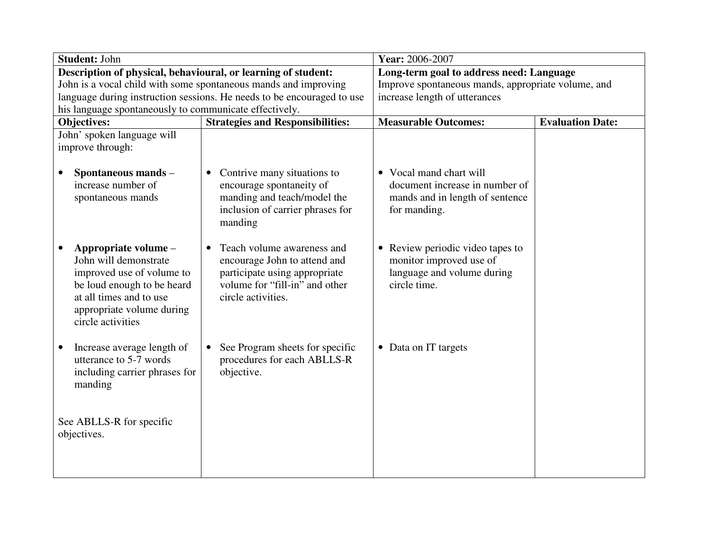| Student: John                                                                                                                                                                         |                                                                                                                                                                  | Year: 2006-2007                                                                                                      |                         |
|---------------------------------------------------------------------------------------------------------------------------------------------------------------------------------------|------------------------------------------------------------------------------------------------------------------------------------------------------------------|----------------------------------------------------------------------------------------------------------------------|-------------------------|
| Description of physical, behavioural, or learning of student:                                                                                                                         |                                                                                                                                                                  | Long-term goal to address need: Language                                                                             |                         |
|                                                                                                                                                                                       | John is a vocal child with some spontaneous mands and improving                                                                                                  | Improve spontaneous mands, appropriate volume, and                                                                   |                         |
|                                                                                                                                                                                       | language during instruction sessions. He needs to be encouraged to use                                                                                           | increase length of utterances                                                                                        |                         |
| his language spontaneously to communicate effectively.                                                                                                                                |                                                                                                                                                                  |                                                                                                                      |                         |
| Objectives:                                                                                                                                                                           | <b>Strategies and Responsibilities:</b>                                                                                                                          | <b>Measurable Outcomes:</b>                                                                                          | <b>Evaluation Date:</b> |
| John' spoken language will                                                                                                                                                            |                                                                                                                                                                  |                                                                                                                      |                         |
| improve through:                                                                                                                                                                      |                                                                                                                                                                  |                                                                                                                      |                         |
| Spontaneous mands -<br>increase number of<br>spontaneous mands                                                                                                                        | Contrive many situations to<br>$\bullet$<br>encourage spontaneity of<br>manding and teach/model the<br>inclusion of carrier phrases for<br>manding               | • Vocal mand chart will<br>document increase in number of<br>mands and in length of sentence<br>for manding.         |                         |
| Appropriate volume -<br>John will demonstrate<br>improved use of volume to<br>be loud enough to be heard<br>at all times and to use<br>appropriate volume during<br>circle activities | Teach volume awareness and<br>$\bullet$<br>encourage John to attend and<br>participate using appropriate<br>volume for "fill-in" and other<br>circle activities. | Review periodic video tapes to<br>$\bullet$<br>monitor improved use of<br>language and volume during<br>circle time. |                         |
| Increase average length of<br>utterance to 5-7 words<br>including carrier phrases for<br>manding                                                                                      | See Program sheets for specific<br>$\bullet$<br>procedures for each ABLLS-R<br>objective.                                                                        | • Data on IT targets                                                                                                 |                         |
| See ABLLS-R for specific<br>objectives.                                                                                                                                               |                                                                                                                                                                  |                                                                                                                      |                         |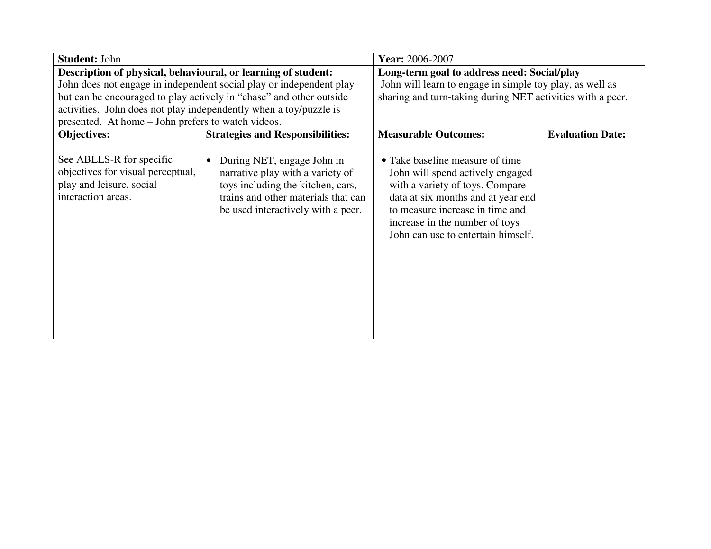| <b>Student: John</b>                                                                                                                                                                     |                                                                                                                                                                                               | Year: 2006-2007                                                                                                                                                                                                                                         |                         |
|------------------------------------------------------------------------------------------------------------------------------------------------------------------------------------------|-----------------------------------------------------------------------------------------------------------------------------------------------------------------------------------------------|---------------------------------------------------------------------------------------------------------------------------------------------------------------------------------------------------------------------------------------------------------|-------------------------|
| Description of physical, behavioural, or learning of student:<br>activities. John does not play independently when a toy/puzzle is<br>presented. At home – John prefers to watch videos. | John does not engage in independent social play or independent play<br>but can be encouraged to play actively in "chase" and other outside                                                    | Long-term goal to address need: Social/play<br>John will learn to engage in simple toy play, as well as<br>sharing and turn-taking during NET activities with a peer.                                                                                   |                         |
| Objectives:                                                                                                                                                                              | <b>Strategies and Responsibilities:</b>                                                                                                                                                       | <b>Measurable Outcomes:</b>                                                                                                                                                                                                                             | <b>Evaluation Date:</b> |
| See ABLLS-R for specific<br>objectives for visual perceptual,<br>play and leisure, social<br>interaction areas.                                                                          | During NET, engage John in<br>$\bullet$<br>narrative play with a variety of<br>toys including the kitchen, cars,<br>trains and other materials that can<br>be used interactively with a peer. | • Take baseline measure of time<br>John will spend actively engaged<br>with a variety of toys. Compare<br>data at six months and at year end<br>to measure increase in time and<br>increase in the number of toys<br>John can use to entertain himself. |                         |